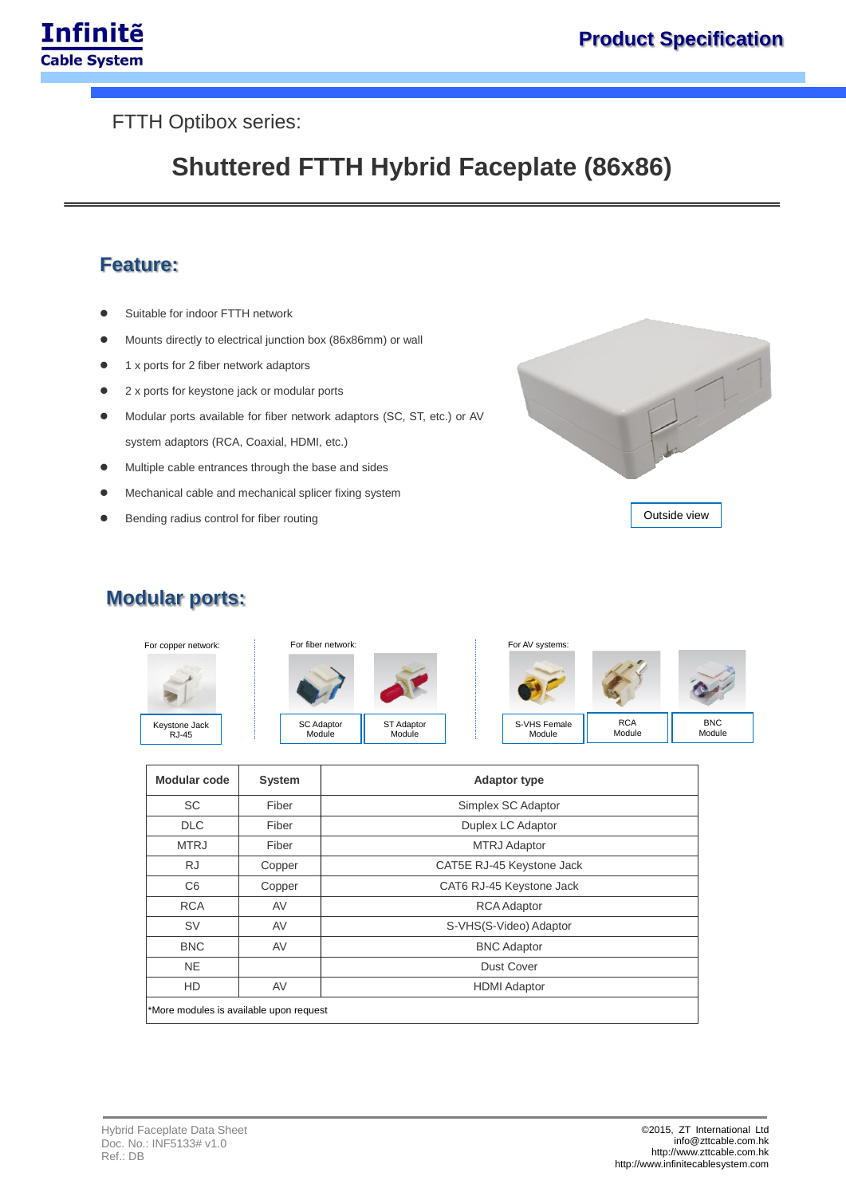

#### FTTH Optibox series:

# **Shuttered FTTH Hybrid Faceplate (86x86)**

### **Feature:**

- Suitable for indoor FTTH network
- Mounts directly to electrical junction box (86x86mm) or wall
- 1 x ports for 2 fiber network adaptors
- 2 x ports for keystone jack or modular ports
- Modular ports available for fiber network adaptors (SC, ST, etc.) or AV system adaptors (RCA, Coaxial, HDMI, etc.)
- Multiple cable entrances through the base and sides
- Mechanical cable and mechanical splicer fixing system
- Bending radius control for fiber routing



## **Modular ports:**



| <b>Modular code</b>                     | <b>System</b> | <b>Adaptor type</b>       |  |
|-----------------------------------------|---------------|---------------------------|--|
| <b>SC</b>                               | Fiber         | Simplex SC Adaptor        |  |
| <b>DLC</b>                              | Fiber         | Duplex LC Adaptor         |  |
| <b>MTRJ</b>                             | Fiber         | <b>MTRJ Adaptor</b>       |  |
| <b>RJ</b>                               | Copper        | CAT5E RJ-45 Keystone Jack |  |
| C <sub>6</sub>                          | Copper        | CAT6 RJ-45 Keystone Jack  |  |
| <b>RCA</b>                              | AV            | <b>RCA Adaptor</b>        |  |
| <b>SV</b>                               | AV            | S-VHS(S-Video) Adaptor    |  |
| <b>BNC</b>                              | AV            | <b>BNC Adaptor</b>        |  |
| <b>NE</b>                               |               | <b>Dust Cover</b>         |  |
| <b>HD</b>                               | AV            | <b>HDMI</b> Adaptor       |  |
| *More modules is available upon request |               |                           |  |